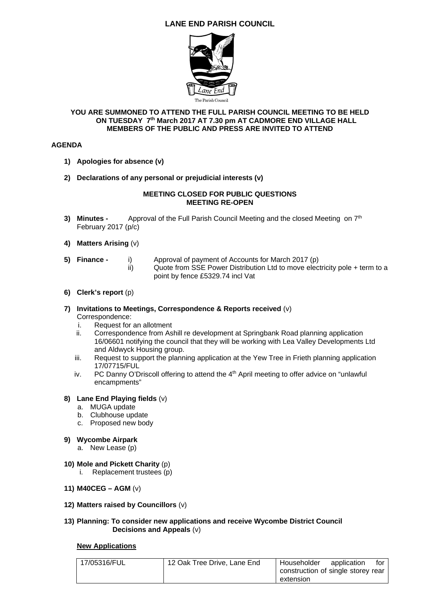# **LANE END PARISH COUNCIL**



#### **YOU ARE SUMMONED TO ATTEND THE FULL PARISH COUNCIL MEETING TO BE HELD ON TUESDAY 7th March 2017 AT 7.30 pm AT CADMORE END VILLAGE HALL MEMBERS OF THE PUBLIC AND PRESS ARE INVITED TO ATTEND**

### **AGENDA**

- **1) Apologies for absence (v)**
- **2) Declarations of any personal or prejudicial interests (v)**

### **MEETING CLOSED FOR PUBLIC QUESTIONS MEETING RE-OPEN**

- **3) Minutes -** Approval of the Full Parish Council Meeting and the closed Meeting on 7<sup>th</sup> February 2017 (p/c)
- **4) Matters Arising** (v)
- **5) Finance** i) Approval of payment of Accounts for March 2017 (p) ii) Quote from SSE Power Distribution Ltd to move electricity pole + term to a point by fence £5329.74 incl Vat
- **6) Clerk's report** (p)

#### **7) Invitations to Meetings, Correspondence & Reports received** (v) Correspondence:

- i. Request for an allotment
- ii. Correspondence from Ashill re development at Springbank Road planning application 16/06601 notifying the council that they will be working with Lea Valley Developments Ltd and Aldwyck Housing group.
- iii. Request to support the planning application at the Yew Tree in Frieth planning application 17/07715/FUL
- iv. PC Danny O'Driscoll offering to attend the  $4<sup>th</sup>$  April meeting to offer advice on "unlawful encampments"

### **8) Lane End Playing fields** (v)

- a. MUGA update
- b. Clubhouse update
- c. Proposed new body
- **9) Wycombe Airpark** 
	- a. New Lease (p)
- **10) Mole and Pickett Charity** (p)
	- i. Replacement trustees (p)
- **11) M40CEG AGM** (v)
- **12) Matters raised by Councillors** (v)

### **13) Planning: To consider new applications and receive Wycombe District Council Decisions and Appeals** (v)

#### **New Applications**

| 17/05316/FUL | 12 Oak Tree Drive, Lane End | Householder                        | application | tor |
|--------------|-----------------------------|------------------------------------|-------------|-----|
|              |                             | construction of single storey rear |             |     |
|              |                             | extension                          |             |     |